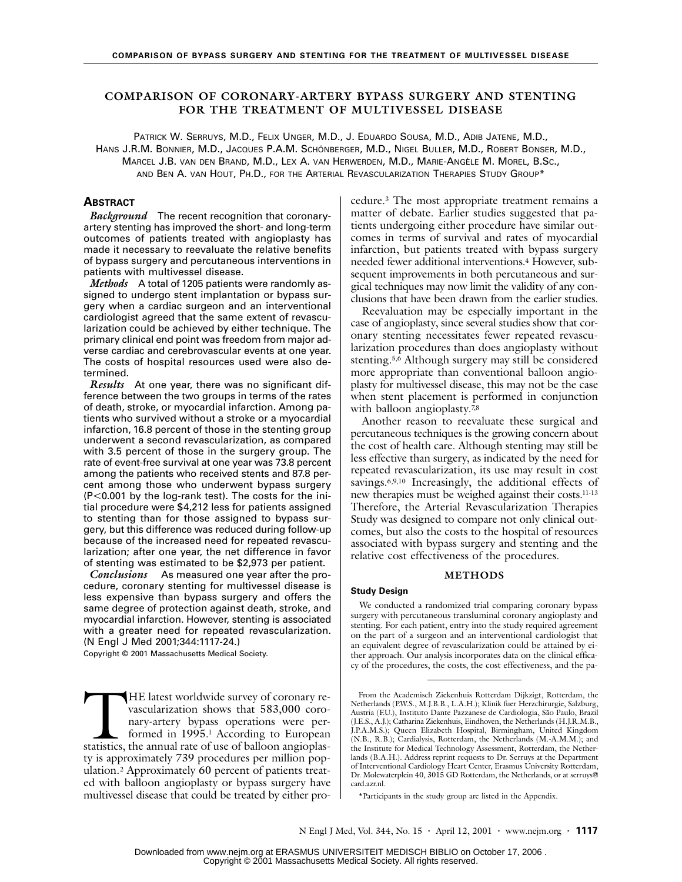# **COMPARISON OF CORONARY-ARTERY BYPASS SURGERY AND STENTING FOR THE TREATMENT OF MULTIVESSEL DISEASE**

PATRICK W. SERRUYS, M.D., FELIX UNGER, M.D., J. EDUARDO SOUSA, M.D., ADIB JATENE, M.D., HANS J.R.M. BONNIER, M.D., JACQUES P.A.M. SCHÖNBERGER, M.D., NIGEL BULLER, M.D., ROBERT BONSER, M.D., MARCEL J.B. VAN DEN BRAND, M.D., LEX A. VAN HERWERDEN, M.D., MARIE-ANGÈLE M. MOREL, B.SC., AND BEN A. VAN HOUT, PH.D., FOR THE ARTERIAL REVASCULARIZATION THERAPIES STUDY GROUP\*

# **ABSTRACT**

*Background* The recent recognition that coronaryartery stenting has improved the short- and long-term outcomes of patients treated with angioplasty has made it necessary to reevaluate the relative benefits of bypass surgery and percutaneous interventions in patients with multivessel disease.

*Methods* A total of 1205 patients were randomly assigned to undergo stent implantation or bypass surgery when a cardiac surgeon and an interventional cardiologist agreed that the same extent of revascularization could be achieved by either technique. The primary clinical end point was freedom from major adverse cardiac and cerebrovascular events at one year. The costs of hospital resources used were also determined.

*Results* At one year, there was no significant difference between the two groups in terms of the rates of death, stroke, or myocardial infarction. Among patients who survived without a stroke or a myocardial infarction, 16.8 percent of those in the stenting group underwent a second revascularization, as compared with 3.5 percent of those in the surgery group. The rate of event-free survival at one year was 73.8 percent among the patients who received stents and 87.8 percent among those who underwent bypass surgery (P<0.001 by the log-rank test). The costs for the initial procedure were \$4,212 less for patients assigned to stenting than for those assigned to bypass surgery, but this difference was reduced during follow-up because of the increased need for repeated revascularization; after one year, the net difference in favor of stenting was estimated to be \$2,973 per patient.

*Conclusions* As measured one year after the procedure, coronary stenting for multivessel disease is less expensive than bypass surgery and offers the same degree of protection against death, stroke, and myocardial infarction. However, stenting is associated with a greater need for repeated revascularization. (N Engl J Med 2001;344:1117-24.)

Copyright © 2001 Massachusetts Medical Society.

HE latest worldwide survey of coronary revascularization shows that 583,000 coronary-artery bypass operations were performed in 1995.1 According to European HE latest worldwide survey of coronary revascularization shows that 583,000 coronary-artery bypass operations were performed in 1995.<sup>1</sup> According to European statistics, the annual rate of use of balloon angioplasty is approximately 739 procedures per million population.2 Approximately 60 percent of patients treated with balloon angioplasty or bypass surgery have multivessel disease that could be treated by either procedure.3 The most appropriate treatment remains a matter of debate. Earlier studies suggested that patients undergoing either procedure have similar outcomes in terms of survival and rates of myocardial infarction, but patients treated with bypass surgery needed fewer additional interventions.4 However, subsequent improvements in both percutaneous and surgical techniques may now limit the validity of any conclusions that have been drawn from the earlier studies.

Reevaluation may be especially important in the case of angioplasty, since several studies show that coronary stenting necessitates fewer repeated revascularization procedures than does angioplasty without stenting.5,6 Although surgery may still be considered more appropriate than conventional balloon angioplasty for multivessel disease, this may not be the case when stent placement is performed in conjunction with balloon angioplasty.<sup>7,8</sup>

Another reason to reevaluate these surgical and percutaneous techniques is the growing concern about the cost of health care. Although stenting may still be less effective than surgery, as indicated by the need for repeated revascularization, its use may result in cost savings.6,9,10 Increasingly, the additional effects of new therapies must be weighed against their costs.11-13 Therefore, the Arterial Revascularization Therapies Study was designed to compare not only clinical outcomes, but also the costs to the hospital of resources associated with bypass surgery and stenting and the relative cost effectiveness of the procedures.

#### **METHODS**

### **Study Design**

We conducted a randomized trial comparing coronary bypass surgery with percutaneous transluminal coronary angioplasty and stenting. For each patient, entry into the study required agreement on the part of a surgeon and an interventional cardiologist that an equivalent degree of revascularization could be attained by either approach. Our analysis incorporates data on the clinical efficacy of the procedures, the costs, the cost effectiveness, and the pa-

From the Academisch Ziekenhuis Rotterdam Dijkzigt, Rotterdam, the Netherlands (P.W.S., M.J.B.B., L.A.H.); Klinik fuer Herzchirurgie, Salzburg, Austria (F.U.), Instituto Dante Pazzanese de Cardiologia, São Paulo, Brazil (J.E.S., A.J.); Catharina Ziekenhuis, Eindhoven, the Netherlands (H.J.R.M.B., J.P.A.M.S.); Queen Elizabeth Hospital, Birmingham, United Kingdom (N.B., R.B.); Cardialysis, Rotterdam, the Netherlands (M.-A.M.M.); and the Institute for Medical Technology Assessment, Rotterdam, the Netherlands (B.A.H.). Address reprint requests to Dr. Serruys at the Department of Interventional Cardiology Heart Center, Erasmus University Rotterdam, Dr. Molewaterplein 40, 3015 GD Rotterdam, the Netherlands, or at serruys@ card.azr.nl.

<sup>\*</sup>Participants in the study group are listed in the Appendix.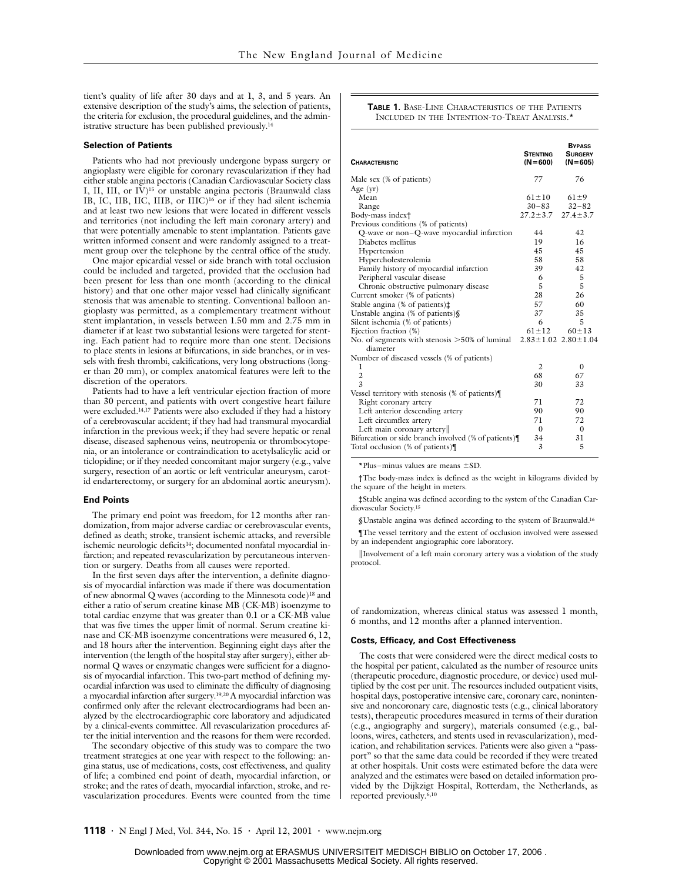tient's quality of life after 30 days and at 1, 3, and 5 years. An extensive description of the study's aims, the selection of patients, the criteria for exclusion, the procedural guidelines, and the administrative structure has been published previously.14

#### **Selection of Patients**

Patients who had not previously undergone bypass surgery or angioplasty were eligible for coronary revascularization if they had either stable angina pectoris (Canadian Cardiovascular Society class I, II, III, or IV)<sup>15</sup> or unstable angina pectoris (Braunwald class IB, IC, IIB, IIC, IIIB, or IIIC)16 or if they had silent ischemia and at least two new lesions that were located in different vessels and territories (not including the left main coronary artery) and that were potentially amenable to stent implantation. Patients gave written informed consent and were randomly assigned to a treatment group over the telephone by the central office of the study.

One major epicardial vessel or side branch with total occlusion could be included and targeted, provided that the occlusion had been present for less than one month (according to the clinical history) and that one other major vessel had clinically significant stenosis that was amenable to stenting. Conventional balloon angioplasty was permitted, as a complementary treatment without stent implantation, in vessels between 1.50 mm and 2.75 mm in diameter if at least two substantial lesions were targeted for stenting. Each patient had to require more than one stent. Decisions to place stents in lesions at bifurcations, in side branches, or in vessels with fresh thrombi, calcifications, very long obstructions (longer than 20 mm), or complex anatomical features were left to the discretion of the operators.

Patients had to have a left ventricular ejection fraction of more than 30 percent, and patients with overt congestive heart failure were excluded.<sup>14,17</sup> Patients were also excluded if they had a history of a cerebrovascular accident; if they had had transmural myocardial infarction in the previous week; if they had severe hepatic or renal disease, diseased saphenous veins, neutropenia or thrombocytopenia, or an intolerance or contraindication to acetylsalicylic acid or ticlopidine; or if they needed concomitant major surgery (e.g., valve surgery, resection of an aortic or left ventricular aneurysm, carotid endarterectomy, or surgery for an abdominal aortic aneurysm).

#### **End Points**

The primary end point was freedom, for 12 months after randomization, from major adverse cardiac or cerebrovascular events, defined as death; stroke, transient ischemic attacks, and reversible ischemic neurologic deficits<sup>14</sup>; documented nonfatal myocardial infarction; and repeated revascularization by percutaneous intervention or surgery. Deaths from all causes were reported.

In the first seven days after the intervention, a definite diagnosis of myocardial infarction was made if there was documentation of new abnormal Q waves (according to the Minnesota code)18 and either a ratio of serum creatine kinase MB (CK-MB) isoenzyme to total cardiac enzyme that was greater than 0.1 or a CK-MB value that was five times the upper limit of normal. Serum creatine kinase and CK-MB isoenzyme concentrations were measured 6, 12, and 18 hours after the intervention. Beginning eight days after the intervention (the length of the hospital stay after surgery), either abnormal Q waves or enzymatic changes were sufficient for a diagnosis of myocardial infarction. This two-part method of defining myocardial infarction was used to eliminate the difficulty of diagnosing a myocardial infarction after surgery.19,20 A myocardial infarction was confirmed only after the relevant electrocardiograms had been analyzed by the electrocardiographic core laboratory and adjudicated by a clinical-events committee. All revascularization procedures after the initial intervention and the reasons for them were recorded.

The secondary objective of this study was to compare the two treatment strategies at one year with respect to the following: angina status, use of medications, costs, cost effectiveness, and quality of life; a combined end point of death, myocardial infarction, or stroke; and the rates of death, myocardial infarction, stroke, and revascularization procedures. Events were counted from the time

#### **TABLE 1.** BASE-LINE CHARACTERISTICS OF THE PATIENTS INCLUDED IN THE INTENTION-TO-TREAT ANALYSIS.\*

| 77<br>76<br>Male sex (% of patients)<br>Age $(yr)$<br>$61 \pm 10$<br>Mean<br>$61 \pm 9$<br>$30 - 83$<br>$32 - 82$<br>Range<br>$27.2 \pm 3.7$<br>$27.4 \pm 3.7$<br>Body-mass index†<br>Previous conditions (% of patients)<br>Q-wave or non-Q-wave myocardial infarction<br>42<br>44<br>Diabetes mellitus<br>19<br>16<br>45<br>45<br>Hypertension<br>58<br>58<br>Hypercholesterolemia<br>Family history of myocardial infarction<br>39<br>42<br>Peripheral vascular disease<br>5<br>6<br>5<br>5<br>Chronic obstructive pulmonary disease<br>Current smoker (% of patients)<br>28<br>26<br>57<br>Stable angina (% of patients) $\ddagger$<br>60<br>37<br>35<br>Unstable angina (% of patients)§<br>6<br>5<br>Silent ischemia (% of patients)<br>Ejection fraction (%)<br>$61 \pm 12$<br>$60 \pm 13$<br>No. of segments with stenosis $>50\%$ of luminal<br>$2.83 \pm 1.02$ $2.80 \pm 1.04$<br>diameter<br>Number of diseased vessels (% of patients)<br>1<br>2<br>$\mathbf{0}$<br>$\overline{c}$<br>68<br>67<br>3<br>33<br>30<br>Vessel territory with stenosis (% of patients)<br>71<br>72<br>Right coronary artery<br>Left anterior descending artery<br>90<br>90<br>71<br>72<br>Left circumflex artery<br>Left main coronary artery<br>$\Omega$<br>$\Omega$<br>34<br>31<br>Bifurcation or side branch involved (% of patients) | <b>CHARACTERISTIC</b>            | <b>STENTING</b><br>$(N=600)$ | <b>BYPASS</b><br><b>SURGERY</b><br>$(N=605)$ |
|---------------------------------------------------------------------------------------------------------------------------------------------------------------------------------------------------------------------------------------------------------------------------------------------------------------------------------------------------------------------------------------------------------------------------------------------------------------------------------------------------------------------------------------------------------------------------------------------------------------------------------------------------------------------------------------------------------------------------------------------------------------------------------------------------------------------------------------------------------------------------------------------------------------------------------------------------------------------------------------------------------------------------------------------------------------------------------------------------------------------------------------------------------------------------------------------------------------------------------------------------------------------------------------------------------------------------------|----------------------------------|------------------------------|----------------------------------------------|
|                                                                                                                                                                                                                                                                                                                                                                                                                                                                                                                                                                                                                                                                                                                                                                                                                                                                                                                                                                                                                                                                                                                                                                                                                                                                                                                                 |                                  |                              |                                              |
|                                                                                                                                                                                                                                                                                                                                                                                                                                                                                                                                                                                                                                                                                                                                                                                                                                                                                                                                                                                                                                                                                                                                                                                                                                                                                                                                 |                                  |                              |                                              |
|                                                                                                                                                                                                                                                                                                                                                                                                                                                                                                                                                                                                                                                                                                                                                                                                                                                                                                                                                                                                                                                                                                                                                                                                                                                                                                                                 |                                  |                              |                                              |
|                                                                                                                                                                                                                                                                                                                                                                                                                                                                                                                                                                                                                                                                                                                                                                                                                                                                                                                                                                                                                                                                                                                                                                                                                                                                                                                                 |                                  |                              |                                              |
|                                                                                                                                                                                                                                                                                                                                                                                                                                                                                                                                                                                                                                                                                                                                                                                                                                                                                                                                                                                                                                                                                                                                                                                                                                                                                                                                 |                                  |                              |                                              |
|                                                                                                                                                                                                                                                                                                                                                                                                                                                                                                                                                                                                                                                                                                                                                                                                                                                                                                                                                                                                                                                                                                                                                                                                                                                                                                                                 |                                  |                              |                                              |
|                                                                                                                                                                                                                                                                                                                                                                                                                                                                                                                                                                                                                                                                                                                                                                                                                                                                                                                                                                                                                                                                                                                                                                                                                                                                                                                                 |                                  |                              |                                              |
|                                                                                                                                                                                                                                                                                                                                                                                                                                                                                                                                                                                                                                                                                                                                                                                                                                                                                                                                                                                                                                                                                                                                                                                                                                                                                                                                 |                                  |                              |                                              |
|                                                                                                                                                                                                                                                                                                                                                                                                                                                                                                                                                                                                                                                                                                                                                                                                                                                                                                                                                                                                                                                                                                                                                                                                                                                                                                                                 |                                  |                              |                                              |
|                                                                                                                                                                                                                                                                                                                                                                                                                                                                                                                                                                                                                                                                                                                                                                                                                                                                                                                                                                                                                                                                                                                                                                                                                                                                                                                                 |                                  |                              |                                              |
|                                                                                                                                                                                                                                                                                                                                                                                                                                                                                                                                                                                                                                                                                                                                                                                                                                                                                                                                                                                                                                                                                                                                                                                                                                                                                                                                 |                                  |                              |                                              |
|                                                                                                                                                                                                                                                                                                                                                                                                                                                                                                                                                                                                                                                                                                                                                                                                                                                                                                                                                                                                                                                                                                                                                                                                                                                                                                                                 |                                  |                              |                                              |
|                                                                                                                                                                                                                                                                                                                                                                                                                                                                                                                                                                                                                                                                                                                                                                                                                                                                                                                                                                                                                                                                                                                                                                                                                                                                                                                                 |                                  |                              |                                              |
|                                                                                                                                                                                                                                                                                                                                                                                                                                                                                                                                                                                                                                                                                                                                                                                                                                                                                                                                                                                                                                                                                                                                                                                                                                                                                                                                 |                                  |                              |                                              |
|                                                                                                                                                                                                                                                                                                                                                                                                                                                                                                                                                                                                                                                                                                                                                                                                                                                                                                                                                                                                                                                                                                                                                                                                                                                                                                                                 |                                  |                              |                                              |
|                                                                                                                                                                                                                                                                                                                                                                                                                                                                                                                                                                                                                                                                                                                                                                                                                                                                                                                                                                                                                                                                                                                                                                                                                                                                                                                                 |                                  |                              |                                              |
|                                                                                                                                                                                                                                                                                                                                                                                                                                                                                                                                                                                                                                                                                                                                                                                                                                                                                                                                                                                                                                                                                                                                                                                                                                                                                                                                 |                                  |                              |                                              |
|                                                                                                                                                                                                                                                                                                                                                                                                                                                                                                                                                                                                                                                                                                                                                                                                                                                                                                                                                                                                                                                                                                                                                                                                                                                                                                                                 |                                  |                              |                                              |
|                                                                                                                                                                                                                                                                                                                                                                                                                                                                                                                                                                                                                                                                                                                                                                                                                                                                                                                                                                                                                                                                                                                                                                                                                                                                                                                                 |                                  |                              |                                              |
|                                                                                                                                                                                                                                                                                                                                                                                                                                                                                                                                                                                                                                                                                                                                                                                                                                                                                                                                                                                                                                                                                                                                                                                                                                                                                                                                 |                                  |                              |                                              |
|                                                                                                                                                                                                                                                                                                                                                                                                                                                                                                                                                                                                                                                                                                                                                                                                                                                                                                                                                                                                                                                                                                                                                                                                                                                                                                                                 |                                  |                              |                                              |
|                                                                                                                                                                                                                                                                                                                                                                                                                                                                                                                                                                                                                                                                                                                                                                                                                                                                                                                                                                                                                                                                                                                                                                                                                                                                                                                                 |                                  |                              |                                              |
|                                                                                                                                                                                                                                                                                                                                                                                                                                                                                                                                                                                                                                                                                                                                                                                                                                                                                                                                                                                                                                                                                                                                                                                                                                                                                                                                 |                                  |                              |                                              |
|                                                                                                                                                                                                                                                                                                                                                                                                                                                                                                                                                                                                                                                                                                                                                                                                                                                                                                                                                                                                                                                                                                                                                                                                                                                                                                                                 |                                  |                              |                                              |
|                                                                                                                                                                                                                                                                                                                                                                                                                                                                                                                                                                                                                                                                                                                                                                                                                                                                                                                                                                                                                                                                                                                                                                                                                                                                                                                                 |                                  |                              |                                              |
|                                                                                                                                                                                                                                                                                                                                                                                                                                                                                                                                                                                                                                                                                                                                                                                                                                                                                                                                                                                                                                                                                                                                                                                                                                                                                                                                 |                                  |                              |                                              |
|                                                                                                                                                                                                                                                                                                                                                                                                                                                                                                                                                                                                                                                                                                                                                                                                                                                                                                                                                                                                                                                                                                                                                                                                                                                                                                                                 |                                  |                              |                                              |
|                                                                                                                                                                                                                                                                                                                                                                                                                                                                                                                                                                                                                                                                                                                                                                                                                                                                                                                                                                                                                                                                                                                                                                                                                                                                                                                                 |                                  |                              |                                              |
|                                                                                                                                                                                                                                                                                                                                                                                                                                                                                                                                                                                                                                                                                                                                                                                                                                                                                                                                                                                                                                                                                                                                                                                                                                                                                                                                 |                                  |                              |                                              |
|                                                                                                                                                                                                                                                                                                                                                                                                                                                                                                                                                                                                                                                                                                                                                                                                                                                                                                                                                                                                                                                                                                                                                                                                                                                                                                                                 |                                  |                              |                                              |
|                                                                                                                                                                                                                                                                                                                                                                                                                                                                                                                                                                                                                                                                                                                                                                                                                                                                                                                                                                                                                                                                                                                                                                                                                                                                                                                                 | Total occlusion (% of patients)¶ | 3                            | 5                                            |

\*Plus–minus values are means ±SD.

†The body-mass index is defined as the weight in kilograms divided by the square of the height in meters.

‡Stable angina was defined according to the system of the Canadian Cardiovascular Society.15

§Unstable angina was defined according to the system of Braunwald.16

¶The vessel territory and the extent of occlusion involved were assessed by an independent angiographic core laboratory.

¿Involvement of a left main coronary artery was a violation of the study protocol.

of randomization, whereas clinical status was assessed 1 month, 6 months, and 12 months after a planned intervention.

#### **Costs, Efficacy, and Cost Effectiveness**

The costs that were considered were the direct medical costs to the hospital per patient, calculated as the number of resource units (therapeutic procedure, diagnostic procedure, or device) used multiplied by the cost per unit. The resources included outpatient visits, hospital days, postoperative intensive care, coronary care, nonintensive and noncoronary care, diagnostic tests (e.g., clinical laboratory tests), therapeutic procedures measured in terms of their duration (e.g., angiography and surgery), materials consumed (e.g., balloons, wires, catheters, and stents used in revascularization), medication, and rehabilitation services. Patients were also given a "passport" so that the same data could be recorded if they were treated at other hospitals. Unit costs were estimated before the data were analyzed and the estimates were based on detailed information provided by the Dijkzigt Hospital, Rotterdam, the Netherlands, as reported previously.6,10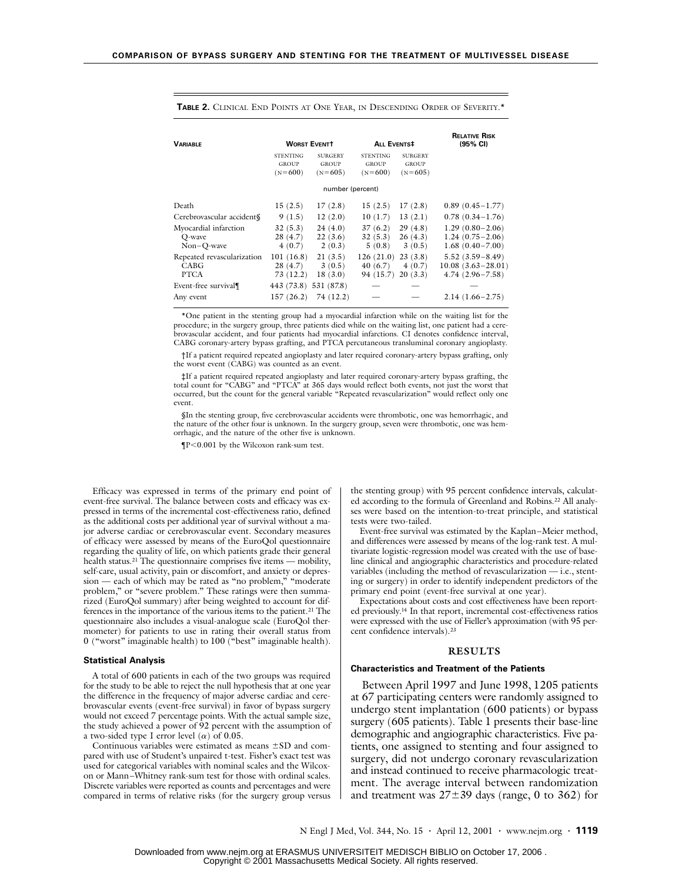| <b><i>VARIABLE</i></b>                            |                                              | <b>WORST EVENTT</b>                         | <b>ALL EVENTS#</b>                           |                                             | <b>RELATIVE RISK</b><br>(95% CI)                                  |  |  |  |  |  |
|---------------------------------------------------|----------------------------------------------|---------------------------------------------|----------------------------------------------|---------------------------------------------|-------------------------------------------------------------------|--|--|--|--|--|
|                                                   | <b>STENTING</b><br><b>GROUP</b><br>$(N=600)$ | <b>SURGERY</b><br><b>GROUP</b><br>$(N=605)$ | <b>STENTING</b><br><b>GROUP</b><br>$(N=600)$ | <b>SURGERY</b><br><b>GROUP</b><br>$(N=605)$ |                                                                   |  |  |  |  |  |
| number (percent)                                  |                                              |                                             |                                              |                                             |                                                                   |  |  |  |  |  |
| Death                                             | 15(2.5)                                      | 17(2.8)                                     | 15(2.5)                                      | 17(2.8)                                     | $0.89(0.45-1.77)$                                                 |  |  |  |  |  |
| Cerebrovascular accident§                         | 9(1.5)                                       | 12(2.0)                                     | 10(1.7)                                      | 13(2.1)                                     | $0.78(0.34-1.76)$                                                 |  |  |  |  |  |
| Myocardial infarction<br>O-wave<br>$Non-O-wave$   | 32(5.3)<br>28(4.7)<br>4(0.7)                 | 24(4.0)<br>22(3.6)<br>2(0.3)                | 37(6.2)<br>32(5.3)<br>5(0.8)                 | 29(4.8)<br>26(4.3)<br>3(0.5)                | $1.29(0.80-2.06)$<br>$1.24(0.75-2.06)$<br>$1.68(0.40 - 7.00)$     |  |  |  |  |  |
| Repeated revascularization<br>CABG<br><b>PTCA</b> | 101(16.8)<br>28(4.7)<br>73 (12.2)            | 21(3.5)<br>3(0.5)<br>18(3.0)                | 126(21.0)<br>40(6.7)<br>94 (15.7)            | 23(3.8)<br>4(0.7)<br>20(3.3)                | $5.52(3.59-8.49)$<br>$10.08(3.63 - 28.01)$<br>$4.74(2.96 - 7.58)$ |  |  |  |  |  |
| Event-free survival¶                              | 443 (73.8)                                   | 531 (87.8)                                  |                                              |                                             |                                                                   |  |  |  |  |  |
| Any event                                         | 157(26.2)                                    | 74 (12.2)                                   |                                              |                                             | $2.14(1.66 - 2.75)$                                               |  |  |  |  |  |

**TABLE 2.** CLINICAL END POINTS AT ONE YEAR, IN DESCENDING ORDER OF SEVERITY.\*

\*One patient in the stenting group had a myocardial infarction while on the waiting list for the procedure; in the surgery group, three patients died while on the waiting list, one patient had a cerebrovascular accident, and four patients had myocardial infarctions. CI denotes confidence interval, CABG coronary-artery bypass grafting, and PTCA percutaneous transluminal coronary angioplasty.

†If a patient required repeated angioplasty and later required coronary-artery bypass grafting, only the worst event (CABG) was counted as an event.

‡If a patient required repeated angioplasty and later required coronary-artery bypass grafting, the total count for "CABG" and "PTCA" at 365 days would reflect both events, not just the worst that occurred, but the count for the general variable "Repeated revascularization" would reflect only one event.

§In the stenting group, five cerebrovascular accidents were thrombotic, one was hemorrhagic, and the nature of the other four is unknown. In the surgery group, seven were thrombotic, one was hemorrhagic, and the nature of the other five is unknown.

¶P<0.001 by the Wilcoxon rank-sum test.

Efficacy was expressed in terms of the primary end point of event-free survival. The balance between costs and efficacy was expressed in terms of the incremental cost-effectiveness ratio, defined as the additional costs per additional year of survival without a major adverse cardiac or cerebrovascular event. Secondary measures of efficacy were assessed by means of the EuroQol questionnaire regarding the quality of life, on which patients grade their general health status.<sup>21</sup> The questionnaire comprises five items — mobility, self-care, usual activity, pain or discomfort, and anxiety or depression — each of which may be rated as "no problem," "moderate problem," or "severe problem." These ratings were then summarized (EuroQol summary) after being weighted to account for differences in the importance of the various items to the patient.21 The questionnaire also includes a visual-analogue scale (EuroQol thermometer) for patients to use in rating their overall status from 0 ("worst" imaginable health) to 100 ("best" imaginable health).

#### **Statistical Analysis**

A total of 600 patients in each of the two groups was required for the study to be able to reject the null hypothesis that at one year the difference in the frequency of major adverse cardiac and cerebrovascular events (event-free survival) in favor of bypass surgery would not exceed 7 percentage points. With the actual sample size, the study achieved a power of 92 percent with the assumption of a two-sided type I error level  $(\alpha)$  of 0.05.

Continuous variables were estimated as means ±SD and compared with use of Student's unpaired t-test. Fisher's exact test was used for categorical variables with nominal scales and the Wilcoxon or Mann–Whitney rank-sum test for those with ordinal scales. Discrete variables were reported as counts and percentages and were compared in terms of relative risks (for the surgery group versus the stenting group) with 95 percent confidence intervals, calculated according to the formula of Greenland and Robins.22 All analyses were based on the intention-to-treat principle, and statistical tests were two-tailed.

Event-free survival was estimated by the Kaplan–Meier method, and differences were assessed by means of the log-rank test. A multivariate logistic-regression model was created with the use of baseline clinical and angiographic characteristics and procedure-related variables (including the method of revascularization — i.e., stenting or surgery) in order to identify independent predictors of the primary end point (event-free survival at one year).

Expectations about costs and cost effectiveness have been reported previously.14 In that report, incremental cost-effectiveness ratios were expressed with the use of Fieller's approximation (with 95 percent confidence intervals).23

#### **RESULTS**

## **Characteristics and Treatment of the Patients**

Between April 1997 and June 1998, 1205 patients at 67 participating centers were randomly assigned to undergo stent implantation (600 patients) or bypass surgery (605 patients). Table 1 presents their base-line demographic and angiographic characteristics. Five patients, one assigned to stenting and four assigned to surgery, did not undergo coronary revascularization and instead continued to receive pharmacologic treatment. The average interval between randomization and treatment was  $27\pm39$  days (range, 0 to 362) for

N Engl J Med, Vol. 344, No. 15 **·** April 12, 2001 **·** www.nejm.org **· 1119**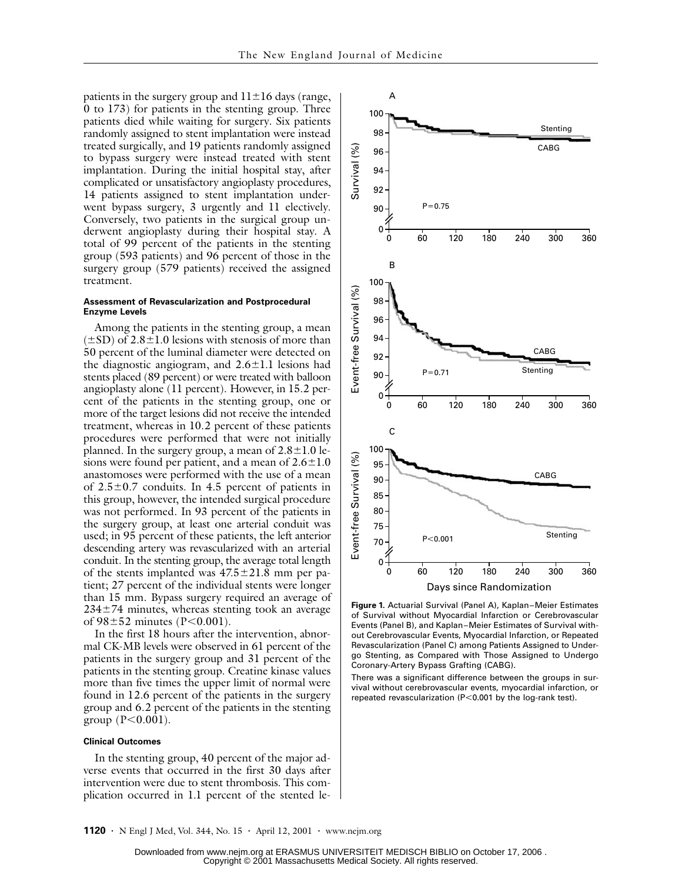patients in the surgery group and  $11\pm16$  days (range, 0 to 173) for patients in the stenting group. Three patients died while waiting for surgery. Six patients randomly assigned to stent implantation were instead treated surgically, and 19 patients randomly assigned to bypass surgery were instead treated with stent implantation. During the initial hospital stay, after complicated or unsatisfactory angioplasty procedures, 14 patients assigned to stent implantation underwent bypass surgery, 3 urgently and 11 electively. Conversely, two patients in the surgical group underwent angioplasty during their hospital stay. A total of 99 percent of the patients in the stenting group (593 patients) and 96 percent of those in the surgery group (579 patients) received the assigned treatment.

### **Assessment of Revascularization and Postprocedural Enzyme Levels**

Among the patients in the stenting group, a mean  $(\pm SD)$  of 2.8 $\pm 1.0$  lesions with stenosis of more than 50 percent of the luminal diameter were detected on the diagnostic angiogram, and  $2.6 \pm 1.1$  lesions had stents placed (89 percent) or were treated with balloon angioplasty alone (11 percent). However, in 15.2 percent of the patients in the stenting group, one or more of the target lesions did not receive the intended treatment, whereas in 10.2 percent of these patients procedures were performed that were not initially planned. In the surgery group, a mean of  $2.8 \pm 1.0$  lesions were found per patient, and a mean of  $2.6 \pm 1.0$ anastomoses were performed with the use of a mean of  $2.5\pm0.7$  conduits. In 4.5 percent of patients in this group, however, the intended surgical procedure was not performed. In 93 percent of the patients in the surgery group, at least one arterial conduit was used; in 95 percent of these patients, the left anterior descending artery was revascularized with an arterial conduit. In the stenting group, the average total length of the stents implanted was  $47.5 \pm 21.8$  mm per patient; 27 percent of the individual stents were longer than 15 mm. Bypass surgery required an average of  $234\pm74$  minutes, whereas stenting took an average of  $98 \pm 52$  minutes (P<0.001).

In the first 18 hours after the intervention, abnormal CK-MB levels were observed in 61 percent of the patients in the surgery group and 31 percent of the patients in the stenting group. Creatine kinase values more than five times the upper limit of normal were found in 12.6 percent of the patients in the surgery group and 6.2 percent of the patients in the stenting group ( $P < 0.001$ ).

## **Clinical Outcomes**

In the stenting group, 40 percent of the major adverse events that occurred in the first 30 days after intervention were due to stent thrombosis. This complication occurred in 1.1 percent of the stented le-



**Figure 1.** Actuarial Survival (Panel A), Kaplan–Meier Estimates of Survival without Myocardial Infarction or Cerebrovascular Events (Panel B), and Kaplan–Meier Estimates of Survival without Cerebrovascular Events, Myocardial Infarction, or Repeated Revascularization (Panel C) among Patients Assigned to Undergo Stenting, as Compared with Those Assigned to Undergo Coronary-Artery Bypass Grafting (CABG).

There was a significant difference between the groups in survival without cerebrovascular events, myocardial infarction, or repeated revascularization (P<0.001 by the log-rank test).

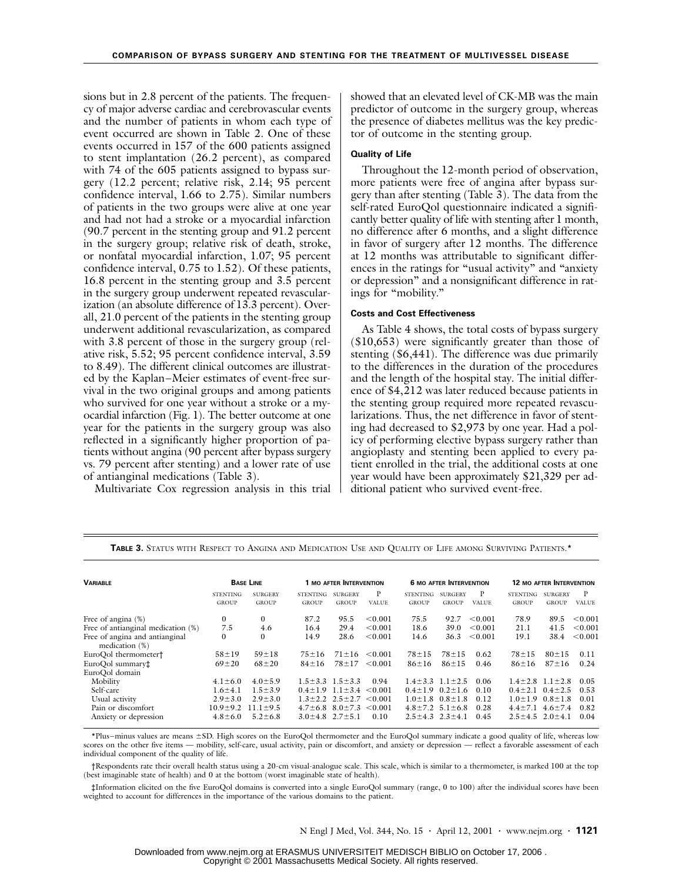sions but in 2.8 percent of the patients. The frequency of major adverse cardiac and cerebrovascular events and the number of patients in whom each type of event occurred are shown in Table 2. One of these events occurred in 157 of the 600 patients assigned to stent implantation (26.2 percent), as compared with 74 of the 605 patients assigned to bypass surgery (12.2 percent; relative risk, 2.14; 95 percent confidence interval, 1.66 to 2.75). Similar numbers of patients in the two groups were alive at one year and had not had a stroke or a myocardial infarction (90.7 percent in the stenting group and 91.2 percent in the surgery group; relative risk of death, stroke, or nonfatal myocardial infarction, 1.07; 95 percent confidence interval, 0.75 to 1.52). Of these patients, 16.8 percent in the stenting group and 3.5 percent in the surgery group underwent repeated revascularization (an absolute difference of 13.3 percent). Overall, 21.0 percent of the patients in the stenting group underwent additional revascularization, as compared with 3.8 percent of those in the surgery group (relative risk, 5.52; 95 percent confidence interval, 3.59 to 8.49). The different clinical outcomes are illustrated by the Kaplan–Meier estimates of event-free survival in the two original groups and among patients who survived for one year without a stroke or a myocardial infarction (Fig. 1). The better outcome at one year for the patients in the surgery group was also reflected in a significantly higher proportion of patients without angina (90 percent after bypass surgery vs. 79 percent after stenting) and a lower rate of use of antianginal medications (Table 3).

Multivariate Cox regression analysis in this trial

showed that an elevated level of CK-MB was the main predictor of outcome in the surgery group, whereas the presence of diabetes mellitus was the key predictor of outcome in the stenting group.

## **Quality of Life**

Throughout the 12-month period of observation, more patients were free of angina after bypass surgery than after stenting (Table 3). The data from the self-rated EuroQol questionnaire indicated a significantly better quality of life with stenting after 1 month, no difference after 6 months, and a slight difference in favor of surgery after 12 months. The difference at 12 months was attributable to significant differences in the ratings for "usual activity" and "anxiety or depression" and a nonsignificant difference in ratings for "mobility."

### **Costs and Cost Effectiveness**

As Table 4 shows, the total costs of bypass surgery (\$10,653) were significantly greater than those of stenting (\$6,441). The difference was due primarily to the differences in the duration of the procedures and the length of the hospital stay. The initial difference of \$4,212 was later reduced because patients in the stenting group required more repeated revascularizations. Thus, the net difference in favor of stenting had decreased to \$2,973 by one year. Had a policy of performing elective bypass surgery rather than angioplasty and stenting been applied to every patient enrolled in the trial, the additional costs at one year would have been approximately \$21,329 per additional patient who survived event-free.

| <b><i>VARIABLE</i></b>             | <b>BASE LINE</b> |                | 1 MO AFTER INTERVENTION |                             |              | <b>6 MO AFTER INTERVENTION</b> |                |              | <b>12 MO AFTER INTERVENTION</b> |                |              |
|------------------------------------|------------------|----------------|-------------------------|-----------------------------|--------------|--------------------------------|----------------|--------------|---------------------------------|----------------|--------------|
|                                    | <b>STENTING</b>  | <b>SURGERY</b> | <b>STENTING</b>         | <b>SURGERY</b>              | P            | <b>STENTING</b>                | <b>SURGERY</b> | P            | <b>STENTING</b>                 | <b>SURGERY</b> | P            |
|                                    | <b>GROUP</b>     | <b>GROUP</b>   | GROUP                   | <b>GROUP</b>                | <b>VALUE</b> | <b>GROUP</b>                   | <b>GROUP</b>   | <b>VALUE</b> | <b>GROUP</b>                    | <b>GROUP</b>   | <b>VALUE</b> |
| Free of angina (%)                 | 0                | 0              | 87.2                    | 95.5                        | < 0.001      | 75.5                           | 92.7           | < 0.001      | 78.9                            | 89.5           | < 0.001      |
| Free of antianginal medication (%) | 7.5              | 4.6            | 16.4                    | 29.4                        | < 0.001      | 18.6                           | 39.0           | < 0.001      | 21.1                            | 41.5           | < 0.001      |
| Free of angina and antianginal     | $\bf{0}$         | $\mathbf{0}$   | 14.9                    | 28.6                        | < 0.001      | 14.6                           | 36.3           | < 0.001      | 19.1                            | 38.4           | < 0.001      |
| medication $(\%)$                  |                  |                |                         |                             |              |                                |                |              |                                 |                |              |
| EuroOol thermometer†               | $58 + 19$        | $59 + 18$      | $75 + 16$               | $71 \pm 16$                 | < 0.001      | $78 + 15$                      | $78 + 15$      | 0.62         | $78 + 15$                       | $80 + 15$      | 0.11         |
| EuroQol summary‡                   | $69 + 20$        | $68 + 20$      | $84 + 16$               | $78 + 17$                   | < 0.001      | $86 \pm 16$                    | $86 + 15$      | 0.46         | $86 \pm 16$                     | $87 + 16$      | 0.24         |
| EuroOol domain                     |                  |                |                         |                             |              |                                |                |              |                                 |                |              |
| Mobility                           | $4.1 \pm 6.0$    | $4.0 \pm 5.9$  |                         | $1.5 \pm 3.3$ $1.5 \pm 3.3$ | 0.94         | $1.4 \pm 3.3$ $1.1 \pm 2.5$    |                | 0.06         | $1.4 \pm 2.8$                   | $1.1 \pm 2.8$  | 0.05         |
| Self-care                          | $1.6 + 4.1$      | $1.5 \pm 3.9$  | $0.4 \pm 1.9$           | $1.1 \pm 3.4$               | < 0.001      | $0.4 \pm 1.9$                  | $0.2 \pm 1.6$  | 0.10         | $0.4 \pm 2.1$                   | $0.4 \pm 2.5$  | 0.53         |
| Usual activity                     | $2.9 \pm 3.0$    | $2.9 \pm 3.0$  |                         | $1.3 \pm 2.2$ $2.5 \pm 2.7$ | < 0.001      | $1.0 \pm 1.8$                  | $0.8 \pm 1.8$  | 0.12         | $1.0 \pm 1.9$                   | $0.8 \pm 1.8$  | 0.01         |
| Pain or discomfort                 | $10.9 + 9.2$     | $11.1 \pm 9.5$ | $4.7 \pm 6.8$           | $8.0 \pm 7.3$               | < 0.001      | $4.8 \pm 7.2$                  | $5.1 \pm 6.8$  | 0.28         | $4.4 \pm 7.1$                   | $4.6 \pm 7.4$  | 0.82         |
| Anxiety or depression              | $4.8 \pm 6.0$    | $5.2 \pm 6.8$  |                         | $3.0 \pm 4.8$ $2.7 \pm 5.1$ | 0.10         | $2.5 \pm 4.3$ $2.3 \pm 4.1$    |                | 0.45         | $2.5 \pm 4.5$                   | $2.0 \pm 4.1$  | 0.04         |
|                                    |                  |                |                         |                             |              |                                |                |              |                                 |                |              |

**TABLE 3.** STATUS WITH RESPECT TO ANGINA AND MEDICATION USE AND QUALITY OF LIFE AMONG SURVIVING PATIENTS.\*

\*Plus–minus values are means ±SD. High scores on the EuroQol thermometer and the EuroQol summary indicate a good quality of life, whereas low scores on the other five items — mobility, self-care, usual activity, pain or discomfort, and anxiety or depression — reflect a favorable assessment of each individual component of the quality of life.

†Respondents rate their overall health status using a 20-cm visual-analogue scale. This scale, which is similar to a thermometer, is marked 100 at the top (best imaginable state of health) and 0 at the bottom (worst imaginable state of health).

‡Information elicited on the five EuroQol domains is converted into a single EuroQol summary (range, 0 to 100) after the individual scores have been weighted to account for differences in the importance of the various domains to the patient.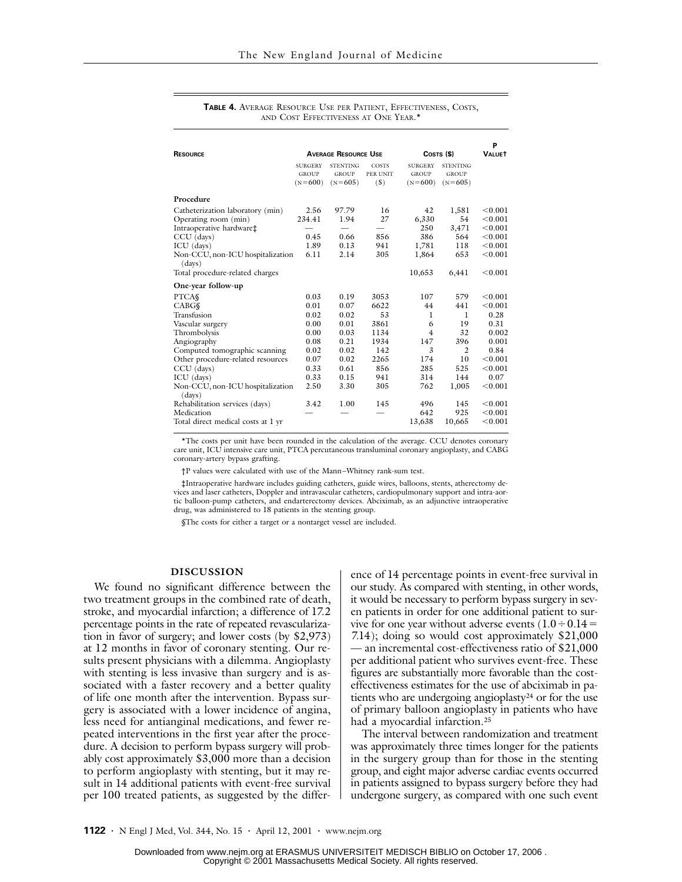| <b>RESOURCE</b>                                                                                                                                                | <b>AVERAGE RESOURCE USE</b><br>COSTS <sub>(\$)</sub> |                                              |                               |                                             |                                              | P<br><b>VALUET</b>                                             |
|----------------------------------------------------------------------------------------------------------------------------------------------------------------|------------------------------------------------------|----------------------------------------------|-------------------------------|---------------------------------------------|----------------------------------------------|----------------------------------------------------------------|
|                                                                                                                                                                | <b>SURGERY</b><br><b>GROUP</b><br>$(N=600)$          | <b>STENTING</b><br><b>GROUP</b><br>$(N=605)$ | COSTS<br>PER UNIT<br>(S)      | <b>SURGERY</b><br><b>GROUP</b><br>$(N=600)$ | <b>STENTING</b><br><b>GROUP</b><br>$(N=605)$ |                                                                |
| Procedure                                                                                                                                                      |                                                      |                                              |                               |                                             |                                              |                                                                |
| Catheterization laboratory (min)<br>Operating room (min)<br>Intraoperative hardware‡<br>CCU (days)<br>ICU (days)<br>Non-CCU, non-ICU hospitalization<br>(days) | 2.56<br>234.41<br>0.45<br>1.89<br>6.11               | 97.79<br>1.94<br>0.66<br>0.13<br>2.14        | 16<br>27<br>856<br>941<br>305 | 42<br>6,330<br>250<br>386<br>1,781<br>1,864 | 1,581<br>54<br>3,471<br>564<br>118<br>653    | < 0.001<br>< 0.001<br>< 0.001<br>< 0.001<br>< 0.001<br>< 0.001 |
| Total procedure-related charges                                                                                                                                |                                                      |                                              |                               | 10,653                                      | 6,441                                        | < 0.001                                                        |
| One-year follow-up                                                                                                                                             |                                                      |                                              |                               |                                             |                                              |                                                                |
| <b>PTCAS</b><br><b>CABG</b><br>Transfusion                                                                                                                     | 0.03<br>0.01<br>0.02                                 | 0.19<br>0.07<br>0.02                         | 3053<br>6622<br>53            | 107<br>44<br>1                              | 579<br>441<br>1                              | < 0.001<br>< 0.001<br>0.28                                     |
| Vascular surgery<br>Thrombolysis<br>Angiography                                                                                                                | 0.00<br>0.00<br>0.08                                 | 0.01<br>0.03<br>0.21                         | 3861<br>1134<br>1934          | 6<br>4<br>147                               | 19<br>32<br>396                              | 0.31<br>0.002<br>0.001                                         |
| Computed tomographic scanning<br>Other procedure-related resources                                                                                             | 0.02<br>0.07<br>0.33                                 | 0.02<br>0.02<br>0.61                         | 142<br>2265<br>856            | $\mathfrak{Z}$<br>174<br>285                | 2<br>10<br>525                               | 0.84<br>< 0.001<br>< 0.001                                     |
| $CCU$ (days)<br>ICU (days)<br>Non-CCU, non-ICU hospitalization                                                                                                 | 0.33<br>2.50                                         | 0.15<br>3.30                                 | 941<br>305                    | 314<br>762                                  | 144<br>1,005                                 | 0.07<br>< 0.001                                                |
| (days)<br>Rehabilitation services (days)<br>Medication<br>Total direct medical costs at 1 yr                                                                   | 3.42                                                 | 1.00                                         | 145                           | 496<br>642<br>13,638                        | 145<br>925<br>10,665                         | < 0.001<br>< 0.001<br>< 0.001                                  |

**TABLE 4.** AVERAGE RESOURCE USE PER PATIENT, EFFECTIVENESS, COSTS, AND COST EFFECTIVENESS AT ONE YEAR.<sup>\*</sup>

\*The costs per unit have been rounded in the calculation of the average. CCU denotes coronary care unit, ICU intensive care unit, PTCA percutaneous transluminal coronary angioplasty, and CABG coronary-artery bypass grafting.

†P values were calculated with use of the Mann–Whitney rank-sum test.

‡Intraoperative hardware includes guiding catheters, guide wires, balloons, stents, atherectomy devices and laser catheters, Doppler and intravascular catheters, cardiopulmonary support and intra-aortic balloon-pump catheters, and endarterectomy devices. Abciximab, as an adjunctive intraoperative drug, was administered to 18 patients in the stenting group.

§The costs for either a target or a nontarget vessel are included.

### **DISCUSSION**

We found no significant difference between the two treatment groups in the combined rate of death, stroke, and myocardial infarction; a difference of 17.2 percentage points in the rate of repeated revascularization in favor of surgery; and lower costs (by \$2,973) at 12 months in favor of coronary stenting. Our results present physicians with a dilemma. Angioplasty with stenting is less invasive than surgery and is associated with a faster recovery and a better quality of life one month after the intervention. Bypass surgery is associated with a lower incidence of angina, less need for antianginal medications, and fewer repeated interventions in the first year after the procedure. A decision to perform bypass surgery will probably cost approximately \$3,000 more than a decision to perform angioplasty with stenting, but it may result in 14 additional patients with event-free survival per 100 treated patients, as suggested by the difference of 14 percentage points in event-free survival in our study. As compared with stenting, in other words, it would be necessary to perform bypass surgery in seven patients in order for one additional patient to survive for one year without adverse events  $(1.0 \div 0.14 =$ 7.14); doing so would cost approximately \$21,000 — an incremental cost-effectiveness ratio of \$21,000 per additional patient who survives event-free. These figures are substantially more favorable than the costeffectiveness estimates for the use of abciximab in patients who are undergoing angioplasty24 or for the use of primary balloon angioplasty in patients who have had a myocardial infarction.<sup>25</sup>

The interval between randomization and treatment was approximately three times longer for the patients in the surgery group than for those in the stenting group, and eight major adverse cardiac events occurred in patients assigned to bypass surgery before they had undergone surgery, as compared with one such event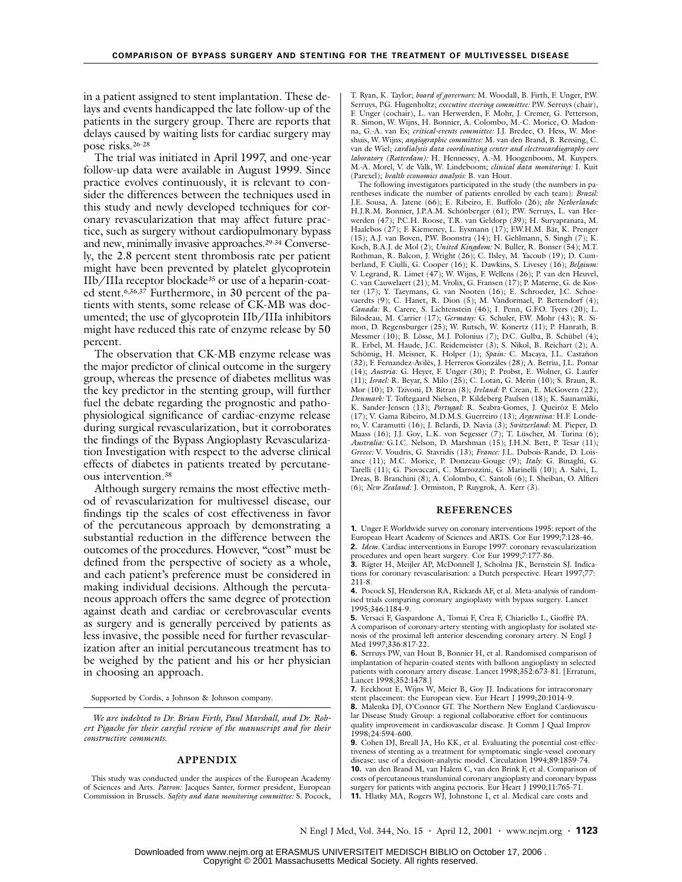in a patient assigned to stent implantation. These delays and events handicapped the late follow-up of the patients in the surgery group. There are reports that delays caused by waiting lists for cardiac surgery may pose risks.26-28

The trial was initiated in April 1997, and one-year follow-up data were available in August 1999. Since practice evolves continuously, it is relevant to consider the differences between the techniques used in this study and newly developed techniques for coronary revascularization that may affect future practice, such as surgery without cardiopulmonary bypass and new, minimally invasive approaches.29-34 Conversely, the 2.8 percent stent thrombosis rate per patient might have been prevented by platelet glycoprotein IIb/IIIa receptor blockade35 or use of a heparin-coated stent.6,36,37 Furthermore, in 30 percent of the patients with stents, some release of CK-MB was documented; the use of glycoprotein IIb/IIIa inhibitors might have reduced this rate of enzyme release by 50 percent.

The observation that CK-MB enzyme release was the major predictor of clinical outcome in the surgery group, whereas the presence of diabetes mellitus was the key predictor in the stenting group, will further fuel the debate regarding the prognostic and pathophysiological significance of cardiac-enzyme release during surgical revascularization, but it corroborates the findings of the Bypass Angioplasty Revascularization Investigation with respect to the adverse clinical effects of diabetes in patients treated by percutaneous intervention.38

Although surgery remains the most effective method of revascularization for multivessel disease, our findings tip the scales of cost effectiveness in favor of the percutaneous approach by demonstrating a substantial reduction in the difference between the outcomes of the procedures. However, "cost" must be defined from the perspective of society as a whole, and each patient's preference must be considered in making individual decisions. Although the percutaneous approach offers the same degree of protection against death and cardiac or cerebrovascular events as surgery and is generally perceived by patients as less invasive, the possible need for further revascularization after an initial percutaneous treatment has to be weighed by the patient and his or her physician in choosing an approach.

Supported by Cordis, a Johnson & Johnson company.

*We are indebted to Dr. Brian Firth, Paul Marshall, and Dr. Robert Pigache for their careful review of the manuscript and for their constructive comments.*

#### **APPENDIX**

This study was conducted under the auspices of the European Academy of Sciences and Arts. *Patron:* Jacques Santer, former president, European Commission in Brussels. *Safety and data monitoring committee:* S. Pocock, T. Ryan, K. Taylor; *board of governors:* M. Woodall, B. Firth, F. Unger, P.W. Serruys, P.G. Hugenholtz; *executive steering committee:* P.W. Serruys (chair), F. Unger (cochair), L. van Herwerden, F. Mohr, J. Cremer, G. Petterson, R. Simon, W. Wijns, H. Bonnier, A. Colombo, M.-C. Morice, O. Madonna, G.-A. van Es; *critical-events committee:* J.J. Bredee, O. Hess, W. Morshuis, W. Wijns; *angiographic committee:* M. van den Brand, B. Rensing, C. van de Wiel; *cardialysis data coordinating center and electrocardiography core laboratory (Rotterdam):* H. Hennessey, A.-M. Hoogenboom, M. Kuypers. M.-A. Morel, V. de Valk, W. Lindeboom; *clinical data monitoring:* I. Kuit (Parexel); *health economics analysis:* B. van Hout.

The following investigators participated in the study (the numbers in parentheses indicate the number of patients enrolled by each team): *Brazil:* J.E. Sousa, A. Jatene (66); E. Ribeiro, E. Buffolo (26); *the Netherlands:* H.J.R.M. Bonnier, J.P.A.M. Schönberger (61); P.W. Serruys, L. van Herwerden (47); P.C.H. Roose, T.R. van Geldorp (39); H. Suryapranata, M. Haalebos (27); F. Kiemeney, L. Eysmann (17); F.W.H.M. Bär, K. Prenger (15); A.J. van Boven, P.W. Boonstra (14); H. Gehlmann, S. Singh (7); K. Koch, B.A.J. de Mol (2); *United Kingdom:* N. Buller, R. Bonser (54); M.T. Rothman, R. Balcon, J. Wright (26); C. Ilsley, M. Yacoub (19); D. Cum-berland, F. Ciulli, G. Cooper (16); K. Dawkins, S. Livesey (16); *Belgium:* V. Legrand, R. Limet (47); W. Wijns, F. Wellens (26); P. van den Heuvel, C. van Cauwelaert (21); M. Vrolix, G. Fransen (17); P. Materne, G. de Koster (17); Y. Taeymans, G. van Nooten (16); E. Schroeder, J.C. Schoevaerdts (9); C. Hanet, R. Dion (5); M. Vandormael, P. Bettendorf (4); *Canada:* R. Carere, S. Lichtenstein (46); I. Penn, G.F.O. Tyers (20); L. Bilodeau, M. Carrier (17); *Germany:* G. Schuler, F.W. Mohr (43); R. Simon, D. Regensburger (25); W. Rutsch, W. Konertz (11); P. Hanrath, B. Messmer (10); B. Lösse, M.J. Polonius (7); D.C. Gulba, B. Schübel (4); R. Erbel, M. Haude, J.C. Reidemeister (3); S. Nikol, B. Reichart (2); A. Schömig, H. Meisner, K. Holper (1); *Spain:* C. Macaya, J.L. Castañon (32); F. Fernandez-Avilès, J. Herreros Gonzáles (28); A. Betriu, J.L. Pomar (14); *Austria:* G. Heyer, F. Unger (30); P. Probst, E. Wolner, G. Laufer (11); *Israel:* R. Beyar, S. Milo (25); C. Lotan, G. Merin (10); S. Braun, R. Mor (10); D. Tzivoni, D. Bitran (8); *Ireland:* P. Crean, E. McGovern (22); *Denmark:* T. Toftegaard Nielsen, P. Kildeberg Paulsen (18); K. Saunamäki, K. Sander-Jensen (13); *Portugal:* R. Seabra-Gomes, J. Queiróz E Melo (17); V. Gama Ribeiro, M.D.M.S. Guerreiro (13); *Argentina:* H.F. Londero, V. Caramutti (16); J. Belardi, D. Navia (3); *Switzerland:* M. Pieper, D. Maass (16); J.J. Goy, L.K. von Segesser (7); T. Lüscher, M. Turina (6); *Australia:* G.I.C. Nelson, D. Marshman (15); J.H.N. Bett, P. Tesar (11); *Greece:* V. Voudris, G. Stavridis (13); *France:* J.L. Dubois-Rande, D. Loisance (11); M.C. Morice, P. Donzeau-Gouge (9); *Italy:* G. Binaghi, G. Tarelli (11); G. Piovaccari, C. Marrozzini, G. Marinelli (10); A. Salvi, L. Dreas, B. Branchini (8); A. Colombo, C. Santoli (6); I. Sheiban, O. Alfieri (6); *New Zealand:* J. Ormiston, P. Ruygrok, A. Kerr (3).

#### **REFERENCES**

**1.** Unger F. Worldwide survey on coronary interventions 1995: report of the European Heart Academy of Sciences and ARTS. Cor Eur 1999;7:128-46. **2.** *Idem.* Cardiac interventions in Europe 1997: coronary revascularization procedures and open heart surgery. Cor Eur 1999;7:177-86.

**3.** Rigter H, Meijler AP, McDonnell J, Scholma JK, Bernstein SJ. Indications for coronary revascularisation: a Dutch perspective. Heart 1997;77: 211-8.

**4.** Pocock SJ, Henderson RA, Rickards AF, et al. Meta-analysis of randomised trials comparing coronary angioplasty with bypass surgery. Lancet 1995;346:1184-9.

**5.** Versaci F, Gaspardone A, Tomai F, Crea F, Chiariello L, Gioffrè PA. A comparison of coronary-artery stenting with angioplasty for isolated stenosis of the proximal left anterior descending coronary artery. N Engl J Med 1997;336:817-22.

**6.** Serruys PW, van Hout B, Bonnier H, et al. Randomised comparison of implantation of heparin-coated stents with balloon angioplasty in selected patients with coronary artery disease. Lancet 1998;352:673-81. [Erratum, Lancet 1998;352:1478.]

**7.** Eeckhout E, Wijns W, Meier B, Goy JJ. Indications for intracoronary stent placement: the European view. Eur Heart J 1999;20:1014-9.

**8.** Malenka DJ, O'Connor GT. The Northern New England Cardiovascular Disease Study Group: a regional collaborative effort for continuous quality improvement in cardiovascular disease. Jt Comm J Qual Improv 1998;24:594-600.

**9.** Cohen DJ, Breall JA, Ho KK, et al. Evaluating the potential cost-effectiveness of stenting as a treatment for symptomatic single-vessel coronary disease: use of a decision-analytic model. Circulation 1994;89:1859-74. **10.** van den Brand M, van Halem C, van den Brink F, et al. Comparison of costs of percutaneous transluminal coronary angioplasty and coronary bypass surgery for patients with angina pectoris. Eur Heart J 1990;11:765-71 **11.** Hlatky MA, Rogers WJ, Johnstone I, et al. Medical care costs and

N Engl J Med, Vol. 344, No. 15 **·** April 12, 2001 **·** www.nejm.org **· 1123**